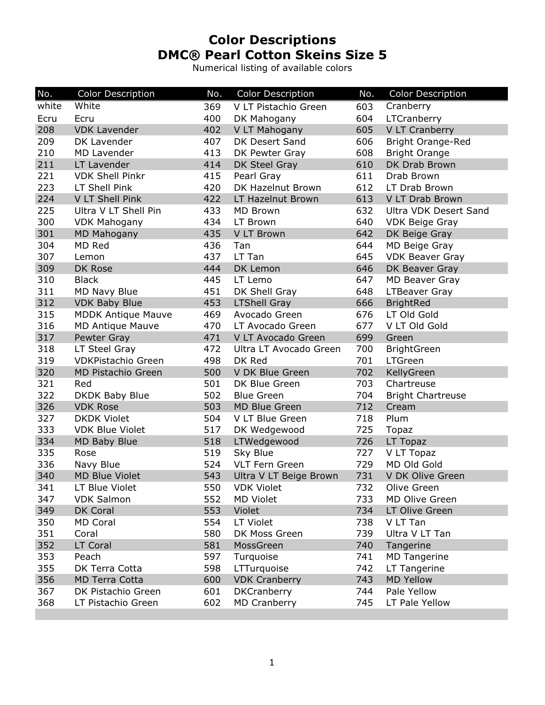## **Color Descriptions DMC® Pearl Cotton Skeins Size 5**

Numerical listing of available colors

| No.   | <b>Color Description</b>  | No. | <b>Color Description</b> | No. | <b>Color Description</b> |
|-------|---------------------------|-----|--------------------------|-----|--------------------------|
| white | White                     | 369 | V LT Pistachio Green     | 603 | Cranberry                |
| Ecru  | Ecru                      | 400 | DK Mahogany              | 604 | LTCranberry              |
| 208   | <b>VDK Lavender</b>       | 402 | V LT Mahogany            | 605 | V LT Cranberry           |
| 209   | DK Lavender               | 407 | DK Desert Sand           | 606 | Bright Orange-Red        |
| 210   | MD Lavender               | 413 | DK Pewter Gray           | 608 | <b>Bright Orange</b>     |
| 211   | LT Lavender               | 414 | DK Steel Gray            | 610 | DK Drab Brown            |
| 221   | <b>VDK Shell Pinkr</b>    | 415 | Pearl Gray               | 611 | Drab Brown               |
| 223   | LT Shell Pink             | 420 | DK Hazelnut Brown        | 612 | LT Drab Brown            |
| 224   | V LT Shell Pink           | 422 | LT Hazelnut Brown        | 613 | V LT Drab Brown          |
| 225   | Ultra V LT Shell Pin      | 433 | MD Brown                 | 632 | Ultra VDK Desert Sand    |
| 300   | <b>VDK Mahogany</b>       | 434 | LT Brown                 | 640 | <b>VDK Beige Gray</b>    |
| 301   | <b>MD Mahogany</b>        | 435 | V LT Brown               | 642 | DK Beige Gray            |
| 304   | MD Red                    | 436 | Tan                      | 644 | MD Beige Gray            |
| 307   | Lemon                     | 437 | LT Tan                   | 645 | <b>VDK Beaver Gray</b>   |
| 309   | DK Rose                   | 444 | DK Lemon                 | 646 | DK Beaver Gray           |
| 310   | <b>Black</b>              | 445 | LT Lemo                  | 647 | <b>MD Beaver Gray</b>    |
| 311   | <b>MD Navy Blue</b>       | 451 | DK Shell Gray            | 648 | <b>LTBeaver Gray</b>     |
| 312   | <b>VDK Baby Blue</b>      | 453 | <b>LTShell Gray</b>      | 666 | <b>BrightRed</b>         |
| 315   | <b>MDDK Antique Mauve</b> | 469 | Avocado Green            | 676 | LT Old Gold              |
| 316   | <b>MD Antique Mauve</b>   | 470 | LT Avocado Green         | 677 | V LT Old Gold            |
| 317   | Pewter Gray               | 471 | V LT Avocado Green       | 699 | Green                    |
| 318   | LT Steel Gray             | 472 | Ultra LT Avocado Green   | 700 | <b>BrightGreen</b>       |
| 319   | <b>VDKPistachio Green</b> | 498 | DK Red                   | 701 | <b>LTGreen</b>           |
| 320   | MD Pistachio Green        | 500 | V DK Blue Green          | 702 | KellyGreen               |
| 321   | Red                       | 501 | DK Blue Green            | 703 | Chartreuse               |
| 322   | DKDK Baby Blue            | 502 | <b>Blue Green</b>        | 704 | <b>Bright Chartreuse</b> |
| 326   | <b>VDK Rose</b>           | 503 | <b>MD Blue Green</b>     | 712 | Cream                    |
| 327   | <b>DKDK Violet</b>        | 504 | V LT Blue Green          | 718 | Plum                     |
| 333   | <b>VDK Blue Violet</b>    | 517 | DK Wedgewood             | 725 | Topaz                    |
| 334   | MD Baby Blue              | 518 | LTWedgewood              | 726 | LT Topaz                 |
| 335   | Rose                      | 519 | Sky Blue                 | 727 | V LT Topaz               |
| 336   | Navy Blue                 | 524 | <b>VLT Fern Green</b>    | 729 | MD Old Gold              |
| 340   | <b>MD Blue Violet</b>     | 543 | Ultra V LT Beige Brown   | 731 | V DK Olive Green         |
| 341   | LT Blue Violet            | 550 | <b>VDK Violet</b>        | 732 | Olive Green              |
| 347   | <b>VDK Salmon</b>         | 552 | <b>MD Violet</b>         | 733 | MD Olive Green           |
| 349   | DK Coral                  | 553 | Violet                   | 734 | LT Olive Green           |
| 350   | MD Coral                  | 554 | LT Violet                | 738 | V LT Tan                 |
| 351   | Coral                     | 580 | DK Moss Green            | 739 | Ultra V LT Tan           |
| 352   | LT Coral                  | 581 | MossGreen                | 740 | Tangerine                |
| 353   | Peach                     | 597 | Turquoise                | 741 | <b>MD Tangerine</b>      |
| 355   | DK Terra Cotta            | 598 | LTTurquoise              | 742 | LT Tangerine             |
| 356   | <b>MD Terra Cotta</b>     | 600 | <b>VDK Cranberry</b>     | 743 | <b>MD Yellow</b>         |
| 367   | DK Pistachio Green        | 601 | <b>DKCranberry</b>       | 744 | Pale Yellow              |
| 368   | LT Pistachio Green        | 602 | <b>MD Cranberry</b>      | 745 | LT Pale Yellow           |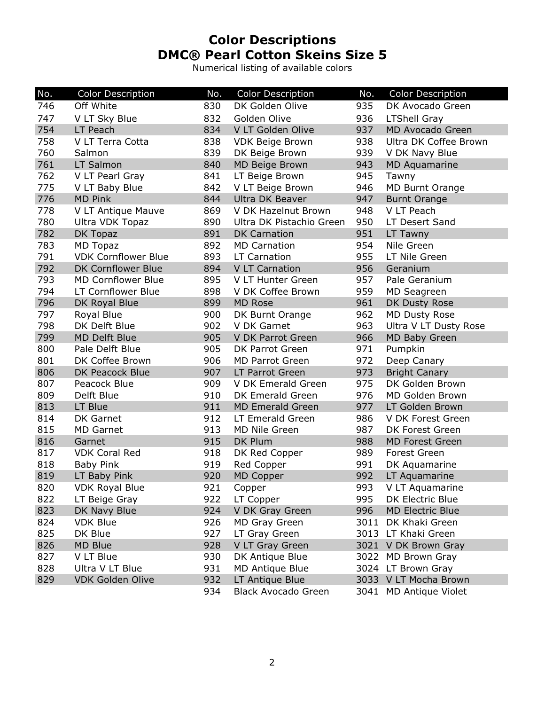## **Color Descriptions DMC® Pearl Cotton Skeins Size 5**

Numerical listing of available colors

| No. | <b>Color Description</b>   | No. | <b>Color Description</b>   | No.  | <b>Color Description</b> |
|-----|----------------------------|-----|----------------------------|------|--------------------------|
| 746 | Off White                  | 830 | DK Golden Olive            | 935  | DK Avocado Green         |
| 747 | V LT Sky Blue              | 832 | Golden Olive               | 936  | <b>LTShell Gray</b>      |
| 754 | LT Peach                   | 834 | V LT Golden Olive          | 937  | <b>MD Avocado Green</b>  |
| 758 | V LT Terra Cotta           | 838 | <b>VDK Beige Brown</b>     | 938  | Ultra DK Coffee Brown    |
| 760 | Salmon                     | 839 | DK Beige Brown             | 939  | V DK Navy Blue           |
| 761 | LT Salmon                  | 840 | <b>MD Beige Brown</b>      | 943  | <b>MD Aquamarine</b>     |
| 762 | V LT Pearl Gray            | 841 | LT Beige Brown             | 945  | Tawny                    |
| 775 | V LT Baby Blue             | 842 | V LT Beige Brown           | 946  | <b>MD Burnt Orange</b>   |
| 776 | <b>MD Pink</b>             | 844 | <b>Ultra DK Beaver</b>     | 947  | <b>Burnt Orange</b>      |
| 778 | V LT Antique Mauve         | 869 | V DK Hazelnut Brown        | 948  | V LT Peach               |
| 780 | Ultra VDK Topaz            | 890 | Ultra DK Pistachio Green   | 950  | LT Desert Sand           |
| 782 | DK Topaz                   | 891 | <b>DK Carnation</b>        | 951  | LT Tawny                 |
| 783 | <b>MD Topaz</b>            | 892 | <b>MD Carnation</b>        | 954  | Nile Green               |
| 791 | <b>VDK Cornflower Blue</b> | 893 | <b>LT Carnation</b>        | 955  | LT Nile Green            |
| 792 | <b>DK Cornflower Blue</b>  | 894 | <b>V LT Carnation</b>      | 956  | Geranium                 |
| 793 | <b>MD Cornflower Blue</b>  | 895 | V LT Hunter Green          | 957  | Pale Geranium            |
| 794 | LT Cornflower Blue         | 898 | V DK Coffee Brown          | 959  | MD Seagreen              |
| 796 | DK Royal Blue              | 899 | <b>MD Rose</b>             | 961  | DK Dusty Rose            |
| 797 | Royal Blue                 | 900 | DK Burnt Orange            | 962  | <b>MD Dusty Rose</b>     |
| 798 | DK Delft Blue              | 902 | V DK Garnet                | 963  | Ultra V LT Dusty Rose    |
| 799 | <b>MD Delft Blue</b>       | 905 | V DK Parrot Green          | 966  | MD Baby Green            |
| 800 | Pale Delft Blue            | 905 | DK Parrot Green            | 971  | Pumpkin                  |
| 801 | DK Coffee Brown            | 906 | <b>MD Parrot Green</b>     | 972  | Deep Canary              |
| 806 | DK Peacock Blue            | 907 | LT Parrot Green            | 973  | <b>Bright Canary</b>     |
| 807 | Peacock Blue               | 909 | V DK Emerald Green         | 975  | DK Golden Brown          |
| 809 | Delft Blue                 | 910 | DK Emerald Green           | 976  | MD Golden Brown          |
| 813 | LT Blue                    | 911 | <b>MD Emerald Green</b>    | 977  | LT Golden Brown          |
| 814 | DK Garnet                  | 912 | LT Emerald Green           | 986  | V DK Forest Green        |
| 815 | <b>MD Garnet</b>           | 913 | MD Nile Green              | 987  | DK Forest Green          |
| 816 | Garnet                     | 915 | DK Plum                    | 988  | <b>MD Forest Green</b>   |
| 817 | <b>VDK Coral Red</b>       | 918 | DK Red Copper              | 989  | Forest Green             |
| 818 | <b>Baby Pink</b>           | 919 | Red Copper                 | 991  | DK Aquamarine            |
| 819 | LT Baby Pink               | 920 | MD Copper                  | 992  | LT Aquamarine            |
| 820 | VDK Royal Blue             | 921 | Copper                     | 993  | V LT Aquamarine          |
| 822 | LT Beige Gray              | 922 | LT Copper                  | 995  | DK Electric Blue         |
| 823 | DK Navy Blue               | 924 | V DK Gray Green            | 996  | <b>MD Electric Blue</b>  |
| 824 | <b>VDK Blue</b>            | 926 | MD Gray Green              | 3011 | DK Khaki Green           |
| 825 | DK Blue                    | 927 | LT Gray Green              |      | 3013 LT Khaki Green      |
| 826 | MD Blue                    | 928 | V LT Gray Green            |      | 3021 V DK Brown Gray     |
| 827 | V LT Blue                  | 930 | DK Antique Blue            |      | 3022 MD Brown Gray       |
| 828 | Ultra V LT Blue            | 931 | MD Antique Blue            |      | 3024 LT Brown Gray       |
| 829 | <b>VDK Golden Olive</b>    | 932 | LT Antique Blue            |      | 3033 V LT Mocha Brown    |
|     |                            | 934 | <b>Black Avocado Green</b> |      | 3041 MD Antique Violet   |